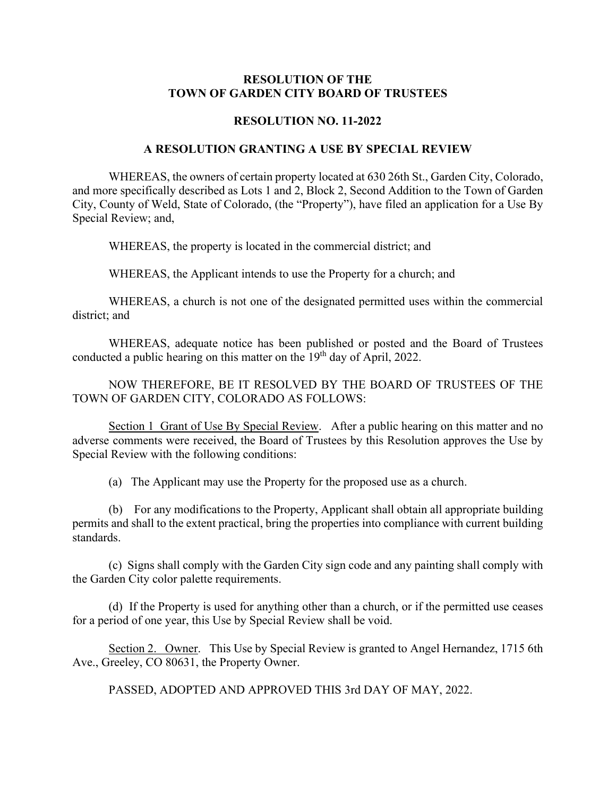## **RESOLUTION OF THE TOWN OF GARDEN CITY BOARD OF TRUSTEES**

## **RESOLUTION NO. 11-2022**

## **A RESOLUTION GRANTING A USE BY SPECIAL REVIEW**

WHEREAS, the owners of certain property located at 630 26th St., Garden City, Colorado, and more specifically described as Lots 1 and 2, Block 2, Second Addition to the Town of Garden City, County of Weld, State of Colorado, (the "Property"), have filed an application for a Use By Special Review; and,

WHEREAS, the property is located in the commercial district; and

WHEREAS, the Applicant intends to use the Property for a church; and

WHEREAS, a church is not one of the designated permitted uses within the commercial district; and

WHEREAS, adequate notice has been published or posted and the Board of Trustees conducted a public hearing on this matter on the 19<sup>th</sup> day of April, 2022.

NOW THEREFORE, BE IT RESOLVED BY THE BOARD OF TRUSTEES OF THE TOWN OF GARDEN CITY, COLORADO AS FOLLOWS:

Section 1 Grant of Use By Special Review. After a public hearing on this matter and no adverse comments were received, the Board of Trustees by this Resolution approves the Use by Special Review with the following conditions:

(a) The Applicant may use the Property for the proposed use as a church.

(b) For any modifications to the Property, Applicant shall obtain all appropriate building permits and shall to the extent practical, bring the properties into compliance with current building standards.

(c) Signs shall comply with the Garden City sign code and any painting shall comply with the Garden City color palette requirements.

(d) If the Property is used for anything other than a church, or if the permitted use ceases for a period of one year, this Use by Special Review shall be void.

Section 2. Owner. This Use by Special Review is granted to Angel Hernandez, 1715 6th Ave., Greeley, CO 80631, the Property Owner.

PASSED, ADOPTED AND APPROVED THIS 3rd DAY OF MAY, 2022.